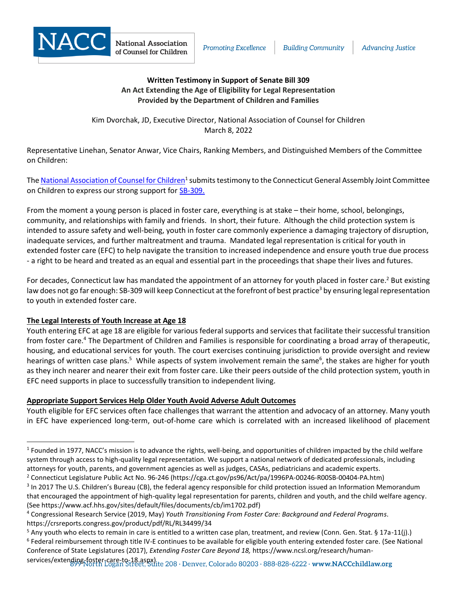

## **Written Testimony in Support of Senate Bill 309 An Act Extending the Age of Eligibility for Legal Representation Provided by the Department of Children and Families**

Kim Dvorchak, JD, Executive Director, National Association of Counsel for Children March 8, 2022

Representative Linehan, Senator Anwar, Vice Chairs, Ranking Members, and Distinguished Members of the Committee on Children:

The <u>National Association of Counsel for Children<sup>1</sup> submits testimony to the Connecticut General Assembly Joint Committee</u> on Children to express our strong support for [SB-309.](https://www.cga.ct.gov/asp/cgabillstatus/cgabillstatus.asp?selBillType=Bill&bill_num=SB00309&which_year=2022)

From the moment a young person is placed in foster care, everything is at stake – their home, school, belongings, community, and relationships with family and friends. In short, their future. Although the child protection system is intended to assure safety and well-being, youth in foster care commonly experience a damaging trajectory of disruption, inadequate services, and further maltreatment and trauma. Mandated legal representation is critical for youth in extended foster care (EFC) to help navigate the transition to increased independence and ensure youth true due process - a right to be heard and treated as an equal and essential part in the proceedings that shape their lives and futures.

For decades, Connecticut law has mandated the appointment of an attorney for youth placed in foster care.<sup>2</sup> But existing law does not go far enough: SB-309 will keep Connecticut at the forefront of best practice<sup>3</sup> by ensuring legal representation to youth in extended foster care.

## **The Legal Interests of Youth Increase at Age 18**

Youth entering EFC at age 18 are eligible for various federal supports and services that facilitate their successful transition from foster care.<sup>4</sup> The Department of Children and Families is responsible for coordinating a broad array of therapeutic, housing, and educational services for youth. The court exercises continuing jurisdiction to provide oversight and review hearings of written case plans.<sup>5</sup> While aspects of system involvement remain the same<sup>6</sup>, the stakes are higher for youth as they inch nearer and nearer their exit from foster care. Like their peers outside of the child protection system, youth in EFC need supports in place to successfully transition to independent living.

## **Appropriate Support Services Help Older Youth Avoid Adverse Adult Outcomes**

Youth eligible for EFC services often face challenges that warrant the attention and advocacy of an attorney. Many youth in EFC have experienced long-term, out-of-home care which is correlated with an increased likelihood of placement

 $1$  Founded in 1977, NACC's mission is to advance the rights, well-being, and opportunities of children impacted by the child welfare system through access to high-quality legal representation. We support a national network of dedicated professionals, including attorneys for youth, parents, and government agencies as well as judges, CASAs, pediatricians and academic experts. <sup>2</sup> Connecticut Legislature Public Act No. 96-246 (https://cga.ct.gov/ps96/Act/pa/1996PA-00246-R00SB-00404-PA.htm)

 $3$  In 2017 The U.S. Children's Bureau (CB), the federal agency responsible for child protection issued an Information Memorandum that encouraged the appointment of high-quality legal representation for parents, children and youth, and the child welfare agency. (See https://www.acf.hhs.gov/sites/default/files/documents/cb/im1702.pdf)

<sup>4</sup> Congressional Research Service (2019, May) *Youth Transitioning From Foster Care: Background and Federal Programs*. https://crsreports.congress.gov/product/pdf/RL/RL34499/34

 $5$  Any youth who elects to remain in care is entitled to a written case plan, treatment, and review (Conn. Gen. Stat. § 17a-11(j).) 6 Federal reimbursement through title IV-E continues to be available for eligible youth entering extended foster care. (See National Conference of State Legislatures (2017), *Extending Foster Care Beyond 18,* https://www.ncsl.org/research/human-